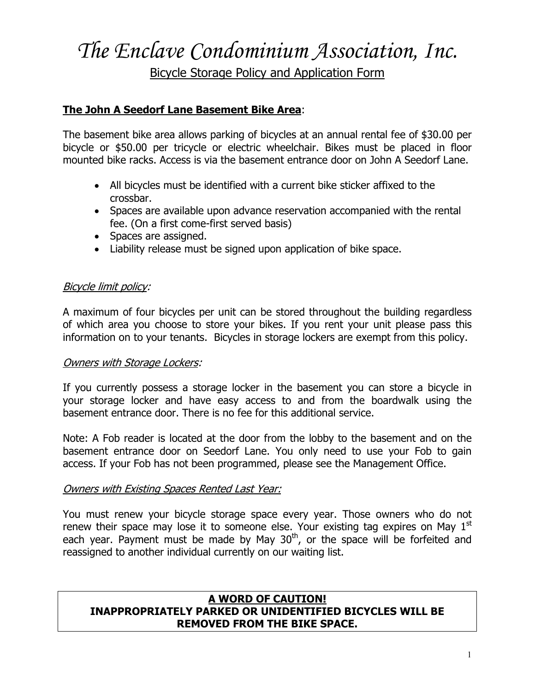# *The Enclave Condominium Association, Inc.* Bicycle Storage Policy and Application Form

## **The John A Seedorf Lane Basement Bike Area**:

The basement bike area allows parking of bicycles at an annual rental fee of \$30.00 per bicycle or \$50.00 per tricycle or electric wheelchair. Bikes must be placed in floor mounted bike racks. Access is via the basement entrance door on John A Seedorf Lane.

- All bicycles must be identified with a current bike sticker affixed to the crossbar.
- Spaces are available upon advance reservation accompanied with the rental fee. (On a first come-first served basis)
- Spaces are assigned.
- Liability release must be signed upon application of bike space.

## Bicycle limit policy:

A maximum of four bicycles per unit can be stored throughout the building regardless of which area you choose to store your bikes. If you rent your unit please pass this information on to your tenants. Bicycles in storage lockers are exempt from this policy.

## Owners with Storage Lockers:

If you currently possess a storage locker in the basement you can store a bicycle in your storage locker and have easy access to and from the boardwalk using the basement entrance door. There is no fee for this additional service.

Note: A Fob reader is located at the door from the lobby to the basement and on the basement entrance door on Seedorf Lane. You only need to use your Fob to gain access. If your Fob has not been programmed, please see the Management Office.

#### Owners with Existing Spaces Rented Last Year:

You must renew your bicycle storage space every year. Those owners who do not renew their space may lose it to someone else. Your existing tag expires on May  $1<sup>st</sup>$ each year. Payment must be made by May 30<sup>th</sup>, or the space will be forfeited and reassigned to another individual currently on our waiting list.

#### **A WORD OF CAUTION! INAPPROPRIATELY PARKED OR UNIDENTIFIED BICYCLES WILL BE REMOVED FROM THE BIKE SPACE.**